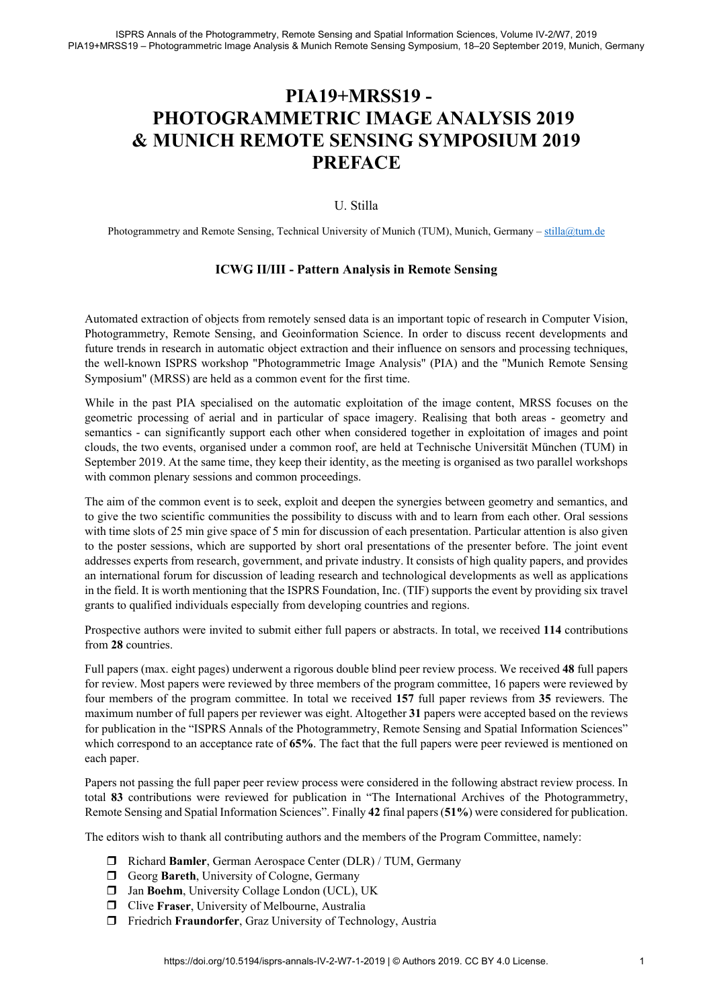## **PIA19+MRSS19 - PHOTOGRAMMETRIC IMAGE ANALYSIS 2019 & MUNICH REMOTE SENSING SYMPOSIUM 2019 PREFACE**

## U. Stilla

Photogrammetry and Remote Sensing, Technical University of Munich (TUM), Munich, Germany – stilla@tum.de

## **ICWG II/III - Pattern Analysis in Remote Sensing**

Automated extraction of objects from remotely sensed data is an important topic of research in Computer Vision, Photogrammetry, Remote Sensing, and Geoinformation Science. In order to discuss recent developments and future trends in research in automatic object extraction and their influence on sensors and processing techniques, the well-known ISPRS workshop "Photogrammetric Image Analysis" (PIA) and the "Munich Remote Sensing Symposium" (MRSS) are held as a common event for the first time.

While in the past PIA specialised on the automatic exploitation of the image content, MRSS focuses on the geometric processing of aerial and in particular of space imagery. Realising that both areas - geometry and semantics - can significantly support each other when considered together in exploitation of images and point clouds, the two events, organised under a common roof, are held at Technische Universität München (TUM) in September 2019. At the same time, they keep their identity, as the meeting is organised as two parallel workshops with common plenary sessions and common proceedings.

The aim of the common event is to seek, exploit and deepen the synergies between geometry and semantics, and to give the two scientific communities the possibility to discuss with and to learn from each other. Oral sessions with time slots of 25 min give space of 5 min for discussion of each presentation. Particular attention is also given to the poster sessions, which are supported by short oral presentations of the presenter before. The joint event addresses experts from research, government, and private industry. It consists of high quality papers, and provides an international forum for discussion of leading research and technological developments as well as applications in the field. It is worth mentioning that the ISPRS Foundation, Inc. (TIF) supports the event by providing six travel grants to qualified individuals especially from developing countries and regions.

Prospective authors were invited to submit either full papers or abstracts. In total, we received **114** contributions from **28** countries.

Full papers (max. eight pages) underwent a rigorous double blind peer review process. We received **48** full papers for review. Most papers were reviewed by three members of the program committee, 16 papers were reviewed by four members of the program committee. In total we received **157** full paper reviews from **35** reviewers. The maximum number of full papers per reviewer was eight. Altogether **31** papers were accepted based on the reviews for publication in the "ISPRS Annals of the Photogrammetry, Remote Sensing and Spatial Information Sciences" which correspond to an acceptance rate of **65%**. The fact that the full papers were peer reviewed is mentioned on each paper.

Papers not passing the full paper peer review process were considered in the following abstract review process. In total **83** contributions were reviewed for publication in "The International Archives of the Photogrammetry, Remote Sensing and Spatial Information Sciences". Finally **42** final papers (**51%**) were considered for publication.

The editors wish to thank all contributing authors and the members of the Program Committee, namely:

- Richard **Bamler**, German Aerospace Center (DLR) / TUM, Germany
- Georg **Bareth**, University of Cologne, Germany
- $\Box$  Jan Boehm, University Collage London (UCL), UK
- Clive **Fraser**, University of Melbourne, Australia
- Friedrich **Fraundorfer**, Graz University of Technology, Austria